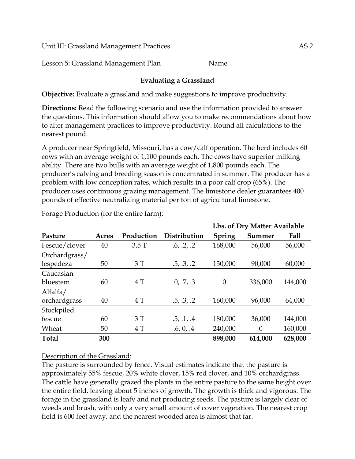Unit III: Grassland Management Practices AS 2

Lesson 5: Grassland Management Plan Name

# **Evaluating a Grassland**

**Objective:** Evaluate a grassland and make suggestions to improve productivity.

**Directions:** Read the following scenario and use the information provided to answer the questions. This information should allow you to make recommendations about how to alter management practices to improve productivity. Round all calculations to the nearest pound.

A producer near Springfield, Missouri, has a cow/calf operation. The herd includes 60 cows with an average weight of 1,100 pounds each. The cows have superior milking ability. There are two bulls with an average weight of 1,800 pounds each. The producer's calving and breeding season is concentrated in summer. The producer has a problem with low conception rates, which results in a poor calf crop (65%). The producer uses continuous grazing management. The limestone dealer guarantees 400 pounds of effective neutralizing material per ton of agricultural limestone.

|               |       |            |              |          | Lbs. of Dry Matter Available |         |
|---------------|-------|------------|--------------|----------|------------------------------|---------|
| Pasture       | Acres | Production | Distribution | Spring   | Summer                       | Fall    |
| Fescue/clover | 40    | 3.5T       | .6, .2, .2   | 168,000  | 56,000                       | 56,000  |
| Orchardgrass/ |       |            |              |          |                              |         |
| lespedeza     | 50    | 3T         | .5, .3, .2   | 150,000  | 90,000                       | 60,000  |
| Caucasian     |       |            |              |          |                              |         |
| bluestem      | 60    | 4 T        | 0, 0.7, 0.3  | $\theta$ | 336,000                      | 144,000 |
| Alfalfa/      |       |            |              |          |                              |         |
| orchardgrass  | 40    | 4 T        | .5, .3, .2   | 160,000  | 96,000                       | 64,000  |
| Stockpiled    |       |            |              |          |                              |         |
| fescue        | 60    | 3T         | .5, .1, .4   | 180,000  | 36,000                       | 144,000 |
| Wheat         | 50    | 4T         | .6, 0, .4    | 240,000  | $\boldsymbol{0}$             | 160,000 |
| <b>Total</b>  | 300   |            |              | 898,000  | 614,000                      | 628,000 |

#### Forage Production (for the entire farm):

# Description of the Grassland:

The pasture is surrounded by fence. Visual estimates indicate that the pasture is approximately 55% fescue, 20% white clover, 15% red clover, and 10% orchardgrass. The cattle have generally grazed the plants in the entire pasture to the same height over the entire field, leaving about 5 inches of growth. The growth is thick and vigorous. The forage in the grassland is leafy and not producing seeds. The pasture is largely clear of weeds and brush, with only a very small amount of cover vegetation. The nearest crop field is 600 feet away, and the nearest wooded area is almost that far.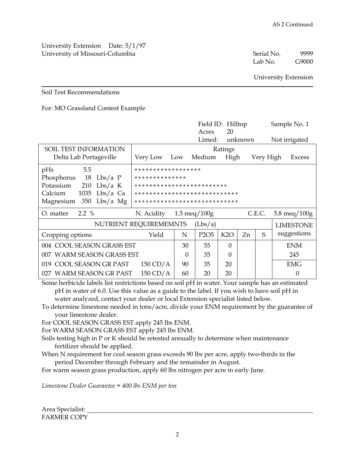University Extension Date: 5/1/97 University of Missouri-Columbia and the serial No. 59999 Serial No. 59999 Serial No. 59999 Serial No. 59999 Serial No

Lab No. G9000

University Extension

#### Soil Test Recommendations

#### For: MO Grassland Contest Example

|                                |                              |          | Field ID: Hilltop              |          |         |           | Sample No. 1                   |
|--------------------------------|------------------------------|----------|--------------------------------|----------|---------|-----------|--------------------------------|
|                                |                              |          | Acres                          | 20       |         |           |                                |
|                                |                              |          | Limed:                         |          | unknown |           | Not irrigated                  |
| <b>SOIL TEST INFORMATION</b>   |                              |          |                                | Ratings  |         |           |                                |
| Delta Lab Portageville         | Very Low                     | Low      | Medium                         | High     |         | Very High | Excess                         |
| 5.5<br>pHs                     | ******************           |          |                                |          |         |           |                                |
| Phosphorus<br>18<br>$Lbs/a$ P  | **************               |          |                                |          |         |           |                                |
| Potassium<br>Lbs/a K<br>210    | *************************    |          |                                |          |         |           |                                |
| Calcium<br>$Lbs/a$ Ca<br>1035  | **************************** |          |                                |          |         |           |                                |
| $Lbs/a$ Mg<br>Magnesium<br>350 | **************************** |          |                                |          |         |           |                                |
| $2.2 \%$<br>O. matter          | N. Acidity                   |          | $1.5 \text{ meq}/100 \text{g}$ |          |         | C.E.C.    | $5.8 \text{ meq}/100 \text{g}$ |
|                                | NUTRIENT REQUIREMEMNTS       |          | (Lbs/a)                        |          |         |           | <b>LIMESTONE</b>               |
| Cropping options               | Yield                        | N        | P <sub>2</sub> O <sub>5</sub>  | K2O      | Zn      | S         | suggestions                    |
| 004 COOL SEASON GRASS EST      |                              |          | 55                             | $\theta$ |         |           | <b>ENM</b>                     |
| 007 WARM SEASON GRASS EST      |                              | $\Omega$ | 35                             | 0        |         |           | 245                            |
| 019 COOL SEASON GR PAST        | $150 \text{ CD/A}$           | 90       | 35                             | 20       |         |           | EMG                            |
| 027 WARM SEASON GR PAST        | $150 \text{ CD/A}$           | 60       | 20                             | 20       |         |           | $\theta$                       |

Some herbicide labels list restrictions based on soil pH in water. Your sample has an estimated pH in water of 6.0. Use this value as a guide to the label. If you wish to have soil pH in water analyzed, contact your dealer or local Extension specialist listed below.

To determine limestone needed in tons/acre, divide your ENM requirement by the guarantee of your limestone dealer.

For COOL SEASON GRASS EST apply 245 lbs ENM.

For WARM SEASON GRASS EST apply 245 lbs ENM.

Soils testing high in P or K should be retested annually to determine when maintenance fertilizer should be applied.

When N requirement for cool season grass exceeds 90 lbs per acre, apply two-thirds in the period December through February and the remainder in August.

For warm season grass production, apply 60 lbs nitrogen per acre in early June.

*Limestone Dealer Guarantee = 400 lbs ENM per ton* 

Area Specialist: FARMER COPY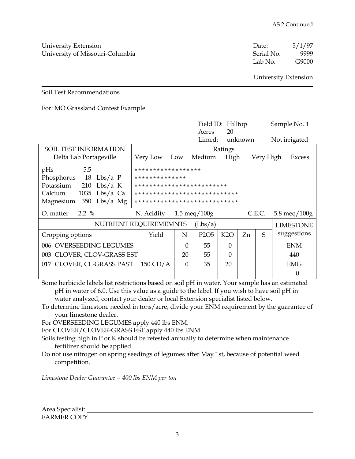University Extension **Date:** 5/1/97 University of Missouri-Columbia Serial No. 9999

Lab No. G9000

University Extension

#### Soil Test Recommendations

#### For: MO Grassland Contest Example

|                                |                              |                                | Field ID: Hilltop             |                  |         |           | Sample No. 1                   |
|--------------------------------|------------------------------|--------------------------------|-------------------------------|------------------|---------|-----------|--------------------------------|
|                                |                              |                                | Acres                         | 20               |         |           |                                |
|                                |                              |                                | Limed:                        |                  | unknown |           | Not irrigated                  |
| <b>SOIL TEST INFORMATION</b>   |                              |                                |                               | Ratings          |         |           |                                |
| Delta Lab Portageville         | Very Low                     | Low                            | Medium                        | High             |         | Very High | Excess                         |
| 5.5<br>pHs                     | ******************           |                                |                               |                  |         |           |                                |
| Phosphorus<br>18<br>$Lbs/a$ P  | **************               |                                |                               |                  |         |           |                                |
| Potassium<br>Lbs/a K<br>210    | *************************    |                                |                               |                  |         |           |                                |
| Calcium<br>$Lbs/a$ Ca<br>1035  | **************************** |                                |                               |                  |         |           |                                |
| $Lbs/a$ Mg<br>350<br>Magnesium | **************************** |                                |                               |                  |         |           |                                |
| $2.2 \%$<br>O. matter          | N. Acidity                   | $1.5 \text{ meq}/100 \text{g}$ |                               |                  |         | C.E.C.    | $5.8 \text{ meq}/100 \text{g}$ |
|                                | NUTRIENT REQUIREMEMNTS       |                                | (Lbs/a)                       |                  |         |           | <b>LIMESTONE</b>               |
| Cropping options               | Yield                        | N                              | P <sub>2</sub> O <sub>5</sub> | K <sub>2</sub> O | Zn      | S         | suggestions                    |
| 006 OVERSEEDING LEGUMES        |                              |                                | 55                            | $\Omega$         |         |           | <b>ENM</b>                     |
| 003 CLOVER, CLOV-GRASS EST     |                              |                                | 55                            | $\Omega$         |         |           | 440                            |
| 017 CLOVER, CL-GRASS PAST      | $150 \text{ CD/A}$           | $\Omega$                       | 35                            | 20               |         |           | <b>EMG</b>                     |
|                                |                              |                                |                               |                  |         |           | 0                              |

Some herbicide labels list restrictions based on soil pH in water. Your sample has an estimated pH in water of 6.0. Use this value as a guide to the label. If you wish to have soil pH in water analyzed, contact your dealer or local Extension specialist listed below.

To determine limestone needed in tons/acre, divide your ENM requirement by the guarantee of your limestone dealer.

For OVERSEEDING LEGUMES apply 440 lbs ENM.

For CLOVER/CLOVER-GRASS EST apply 440 lbs ENM.

Soils testing high in P or K should be retested annually to determine when maintenance fertilizer should be applied.

Do not use nitrogen on spring seedings of legumes after May 1st, because of potential weed competition.

*Limestone Dealer Guarantee = 400 lbs ENM per ton*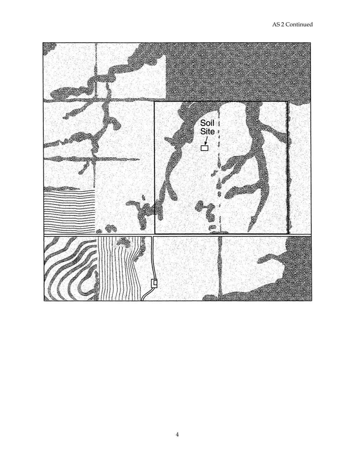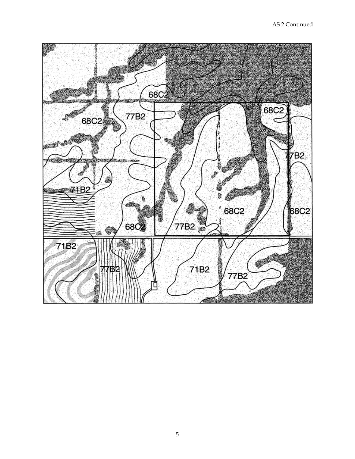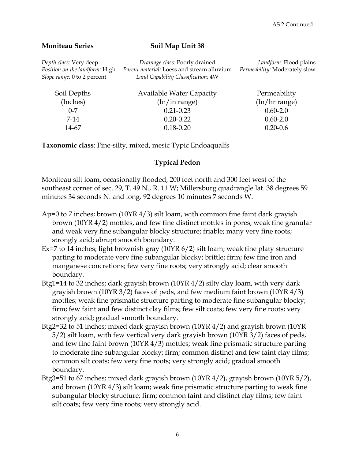#### **Moniteau Series** Soil Map Unit 38

| Depth class: Very deep<br>Position on the landform: High<br>Slope range: 0 to 2 percent | Drainage class: Poorly drained<br>Parent material: Loess and stream alluvium<br>Land Capability Classification: 4W | Landform: Flood plains<br>Permeability: Moderately slow |
|-----------------------------------------------------------------------------------------|--------------------------------------------------------------------------------------------------------------------|---------------------------------------------------------|
| Soil Depths                                                                             | <b>Available Water Capacity</b>                                                                                    | Permeability                                            |
| (Inches)                                                                                | $(\ln/\text{in range})$                                                                                            | (In/hr range)                                           |
| $0 - 7$                                                                                 | $0.21 - 0.23$                                                                                                      | $0.60 - 2.0$                                            |
| 7-14                                                                                    | $0.20 - 0.22$                                                                                                      | $0.60 - 2.0$                                            |
| 14-67                                                                                   | $0.18 - 0.20$                                                                                                      | $0.20 - 0.6$                                            |

**Taxonomic class**: Fine-silty, mixed, mesic Typic Endoaqualfs

## **Typical Pedon**

Moniteau silt loam, occasionally flooded, 200 feet north and 300 feet west of the southeast corner of sec. 29, T. 49 N., R. 11 W; Millersburg quadrangle lat. 38 degrees 59 minutes 34 seconds N. and long. 92 degrees 10 minutes 7 seconds W.

- Ap=0 to 7 inches; brown (10YR 4/3) silt loam, with common fine faint dark grayish brown (10YR 4/2) mottles, and few fine distinct mottles in pores; weak fine granular and weak very fine subangular blocky structure; friable; many very fine roots; strongly acid; abrupt smooth boundary.
- Ex=7 to 14 inches; light brownish gray (10YR 6/2) silt loam; weak fine platy structure parting to moderate very fine subangular blocky; brittle; firm; few fine iron and manganese concretions; few very fine roots; very strongly acid; clear smooth boundary.
- Btg1=14 to 32 inches; dark grayish brown (10YR 4/2) silty clay loam, with very dark grayish brown (10YR 3/2) faces of peds, and few medium faint brown (10YR 4/3) mottles; weak fine prismatic structure parting to moderate fine subangular blocky; firm; few faint and few distinct clay films; few silt coats; few very fine roots; very strongly acid; gradual smooth boundary.
- Btg2=32 to 51 inches; mixed dark grayish brown (10YR 4/2) and grayish brown (10YR 5/2) silt loam, with few vertical very dark grayish brown (10YR 3/2) faces of peds, and few fine faint brown (10YR 4/3) mottles; weak fine prismatic structure parting to moderate fine subangular blocky; firm; common distinct and few faint clay films; common silt coats; few very fine roots; very strongly acid; gradual smooth boundary.
- Btg3=51 to 67 inches; mixed dark grayish brown (10YR 4/2), grayish brown (10YR 5/2), and brown (10YR 4/3) silt loam; weak fine prismatic structure parting to weak fine subangular blocky structure; firm; common faint and distinct clay films; few faint silt coats; few very fine roots; very strongly acid.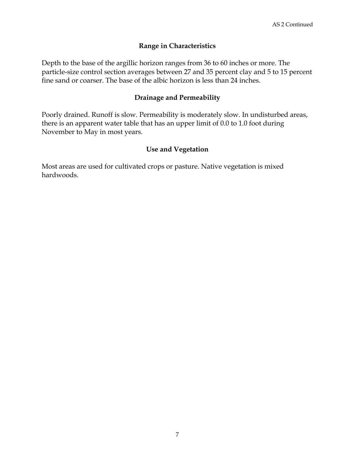### **Range in Characteristics**

Depth to the base of the argillic horizon ranges from 36 to 60 inches or more. The particle-size control section averages between 27 and 35 percent clay and 5 to 15 percent fine sand or coarser. The base of the albic horizon is less than 24 inches.

#### **Drainage and Permeability**

Poorly drained. Runoff is slow. Permeability is moderately slow. In undisturbed areas, there is an apparent water table that has an upper limit of 0.0 to 1.0 foot during November to May in most years.

#### **Use and Vegetation**

Most areas are used for cultivated crops or pasture. Native vegetation is mixed hardwoods.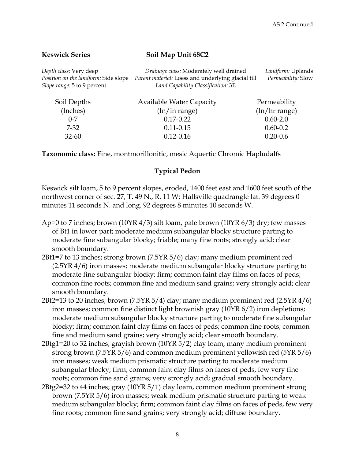#### **Keswick Series** Soil Map Unit 68C2

| Depth class: Very deep<br>Position on the landform: Side slope<br>Slope range: 5 to 9 percent | Drainage class: Moderately well drained<br>Parent material: Loess and underlying glacial till<br>Land Capability Classification: 3E | Landform: Uplands<br>Permeability: Slow |
|-----------------------------------------------------------------------------------------------|-------------------------------------------------------------------------------------------------------------------------------------|-----------------------------------------|
| Soil Depths<br>(Inches)                                                                       | <b>Available Water Capacity</b><br>$(ln/$ in range)                                                                                 | Permeability<br>$(\ln/\ln r$ range)     |
| $0 - 7$                                                                                       | $0.17 - 0.22$                                                                                                                       | $0.60 - 2.0$                            |

**Taxonomic class:** Fine, montmorillonitic, mesic Aquertic Chromic Hapludalfs

 7-32 0.11-0.15 0.60-0.2 32-60 0.12-0.16 0.20-0.6

#### **Typical Pedon**

Keswick silt loam, 5 to 9 percent slopes, eroded, 1400 feet east and 1600 feet south of the northwest corner of sec. 27, T. 49 N., R. 11 W; Hallsville quadrangle lat. 39 degrees 0 minutes 11 seconds N. and long. 92 degrees 8 minutes 10 seconds W.

- Ap=0 to 7 inches; brown (10YR 4/3) silt loam, pale brown (10YR 6/3) dry; few masses of Bt1 in lower part; moderate medium subangular blocky structure parting to moderate fine subangular blocky; friable; many fine roots; strongly acid; clear smooth boundary.
- 2Bt1=7 to 13 inches; strong brown (7.5YR 5/6) clay; many medium prominent red (2.5YR 4/6) iron masses; moderate medium subangular blocky structure parting to moderate fine subangular blocky; firm; common faint clay films on faces of peds; common fine roots; common fine and medium sand grains; very strongly acid; clear smooth boundary.
- 2Bt2=13 to 20 inches; brown (7.5YR 5/4) clay; many medium prominent red (2.5YR 4/6) iron masses; common fine distinct light brownish gray (10YR 6/2) iron depletions; moderate medium subangular blocky structure parting to moderate fine subangular blocky; firm; common faint clay films on faces of peds; common fine roots; common fine and medium sand grains; very strongly acid; clear smooth boundary.
- 2Btg1=20 to 32 inches; grayish brown (10YR 5/2) clay loam, many medium prominent strong brown (7.5YR 5/6) and common medium prominent yellowish red (5YR 5/6) iron masses; weak medium prismatic structure parting to moderate medium subangular blocky; firm; common faint clay films on faces of peds, few very fine roots; common fine sand grains; very strongly acid; gradual smooth boundary.
- 2Btg2=32 to 44 inches; gray (10YR 5/1) clay loam, common medium prominent strong brown (7.5YR 5/6) iron masses; weak medium prismatic structure parting to weak medium subangular blocky; firm; common faint clay films on faces of peds, few very fine roots; common fine sand grains; very strongly acid; diffuse boundary.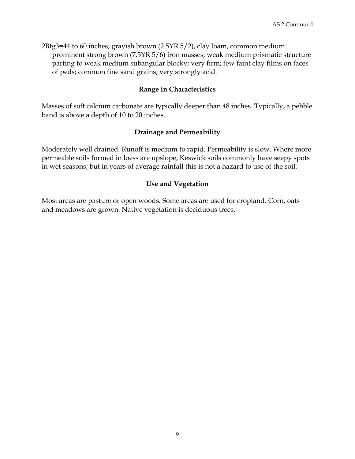2Btg3=44 to 60 inches; grayish brown (2.5YR 5/2), clay loam, common medium prominent strong brown (7.5YR 5/6) iron masses; weak medium prismatic structure parting to weak medium subangular blocky; very firm; few faint clay films on faces of peds; common fine sand grains; very strongly acid.

### **Range in Characteristics**

Masses of soft calcium carbonate are typically deeper than 48 inches. Typically, a pebble band is above a depth of 10 to 20 inches.

#### **Drainage and Permeability**

Moderately well drained. Runoff is medium to rapid. Permeability is slow. Where more permeable soils formed in loess are upslope, Keswick soils commonly have seepy spots in wet seasons; but in years of average rainfall this is not a hazard to use of the soil.

#### **Use and Vegetation**

Most areas are pasture or open woods. Some areas are used for cropland. Corn, oats and meadows are grown. Native vegetation is deciduous trees.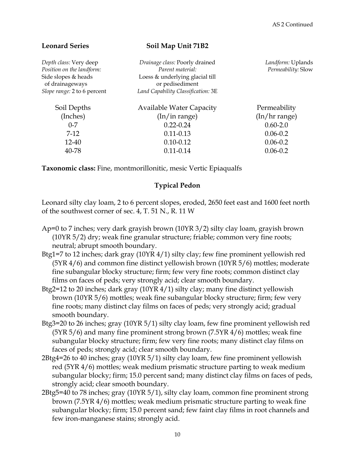| <b>Leonard Series</b>                                                                                                        | Soil Map Unit 71B2                                                                                                                             |                                         |
|------------------------------------------------------------------------------------------------------------------------------|------------------------------------------------------------------------------------------------------------------------------------------------|-----------------------------------------|
| Depth class: Very deep<br>Position on the landform:<br>Side slopes & heads<br>of drainageways<br>Slope range: 2 to 6 percent | Drainage class: Poorly drained<br>Parent material:<br>Loess & underlying glacial till<br>or pedisediment<br>Land Capability Classification: 3E | Landform: Uplands<br>Permeability: Slow |
|                                                                                                                              |                                                                                                                                                |                                         |
| Soil Depths                                                                                                                  | <b>Available Water Capacity</b>                                                                                                                | Permeability                            |
| (Inches)                                                                                                                     | (ln/in range)                                                                                                                                  | $(\ln/\ln r$ range)                     |
| $0 - 7$                                                                                                                      | $0.22 - 0.24$                                                                                                                                  | $0.60 - 2.0$                            |
| $7-12$                                                                                                                       | $0.11 - 0.13$                                                                                                                                  | $0.06 - 0.2$                            |
| $12 - 40$                                                                                                                    | $0.10 - 0.12$                                                                                                                                  | $0.06 - 0.2$                            |
| 40-78                                                                                                                        | $0.11 - 0.14$                                                                                                                                  | $0.06 - 0.2$                            |
|                                                                                                                              |                                                                                                                                                |                                         |

**Taxonomic class:** Fine, montmorillonitic, mesic Vertic Epiaqualfs

## **Typical Pedon**

Leonard silty clay loam, 2 to 6 percent slopes, eroded, 2650 feet east and 1600 feet north of the southwest corner of sec. 4, T. 51 N., R. 11 W

- Ap=0 to 7 inches; very dark grayish brown (10YR 3/2) silty clay loam, grayish brown (10YR 5/2) dry; weak fine granular structure; friable; common very fine roots; neutral; abrupt smooth boundary.
- Btg1=7 to 12 inches; dark gray (10YR 4/1) silty clay; few fine prominent yellowish red (5YR 4/6) and common fine distinct yellowish brown (10YR 5/6) mottles; moderate fine subangular blocky structure; firm; few very fine roots; common distinct clay films on faces of peds; very strongly acid; clear smooth boundary.
- Btg2=12 to 20 inches; dark gray (10YR 4/1) silty clay; many fine distinct yellowish brown (10YR 5/6) mottles; weak fine subangular blocky structure; firm; few very fine roots; many distinct clay films on faces of peds; very strongly acid; gradual smooth boundary.
- Btg3=20 to 26 inches; gray (10YR 5/1) silty clay loam, few fine prominent yellowish red (5YR 5/6) and many fine prominent strong brown (7.5YR 4/6) mottles; weak fine subangular blocky structure; firm; few very fine roots; many distinct clay films on faces of peds; strongly acid; clear smooth boundary.
- 2Btg4=26 to 40 inches; gray (10YR 5/1) silty clay loam, few fine prominent yellowish red (5YR 4/6) mottles; weak medium prismatic structure parting to weak medium subangular blocky; firm; 15.0 percent sand; many distinct clay films on faces of peds, strongly acid; clear smooth boundary.
- 2Btg5=40 to 78 inches; gray (10YR 5/1), silty clay loam, common fine prominent strong brown (7.5YR 4/6) mottles; weak medium prismatic structure parting to weak fine subangular blocky; firm; 15.0 percent sand; few faint clay films in root channels and few iron-manganese stains; strongly acid.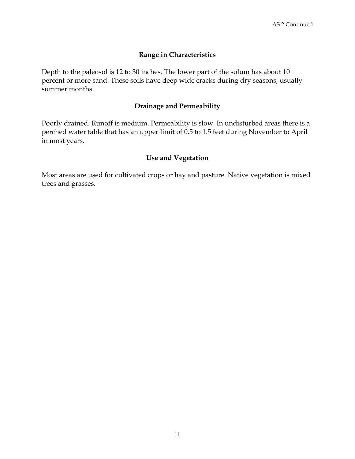### **Range in Characteristics**

Depth to the paleosol is 12 to 30 inches. The lower part of the solum has about 10 percent or more sand. These soils have deep wide cracks during dry seasons, usually summer months.

### **Drainage and Permeability**

Poorly drained. Runoff is medium. Permeability is slow. In undisturbed areas there is a perched water table that has an upper limit of 0.5 to 1.5 feet during November to April in most years.

#### **Use and Vegetation**

Most areas are used for cultivated crops or hay and pasture. Native vegetation is mixed trees and grasses.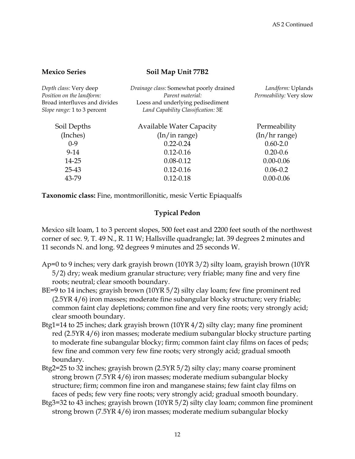#### **Mexico Series** Soil Map Unit 77B2

| Depth class: Very deep<br>Position on the landform:<br>Broad interfluves and divides<br>Slope range: 1 to 3 percent | Drainage class: Somewhat poorly drained<br>Parent material:<br>Loess and underlying pedisediment<br>Land Capability Classification: 3E | Landform: Uplands<br>Permeability: Very slow |
|---------------------------------------------------------------------------------------------------------------------|----------------------------------------------------------------------------------------------------------------------------------------|----------------------------------------------|
| Soil Depths                                                                                                         | <b>Available Water Capacity</b>                                                                                                        | Permeability                                 |
| (Inches)                                                                                                            | $(\ln/\text{in range})$                                                                                                                | (In/hr range)                                |
| $0-9$                                                                                                               | $0.22 - 0.24$                                                                                                                          | $0.60 - 2.0$                                 |
| $9-14$                                                                                                              | $0.12 - 0.16$                                                                                                                          | $0.20 - 0.6$                                 |
| 14-25                                                                                                               | $0.08 - 0.12$                                                                                                                          | $0.00 - 0.06$                                |
| $25 - 43$                                                                                                           | $0.12 - 0.16$                                                                                                                          | $0.06 - 0.2$                                 |
| 43-79                                                                                                               | $0.12 - 0.18$                                                                                                                          | $0.00 - 0.06$                                |
|                                                                                                                     |                                                                                                                                        |                                              |

**Taxonomic class:** Fine, montmorillonitic, mesic Vertic Epiaqualfs

#### **Typical Pedon**

Mexico silt loam, 1 to 3 percent slopes, 500 feet east and 2200 feet south of the northwest corner of sec. 9, T. 49 N., R. 11 W; Hallsville quadrangle; lat. 39 degrees 2 minutes and 11 seconds N. and long. 92 degrees 9 minutes and 25 seconds W.

- Ap=0 to 9 inches; very dark grayish brown (10YR 3/2) silty loam, grayish brown (10YR 5/2) dry; weak medium granular structure; very friable; many fine and very fine roots; neutral; clear smooth boundary.
- BE=9 to 14 inches; grayish brown (10YR 5/2) silty clay loam; few fine prominent red (2.5YR 4/6) iron masses; moderate fine subangular blocky structure; very friable; common faint clay depletions; common fine and very fine roots; very strongly acid; clear smooth boundary.
- Btg1=14 to 25 inches; dark grayish brown (10YR 4/2) silty clay; many fine prominent red (2.5YR 4/6) iron masses; moderate medium subangular blocky structure parting to moderate fine subangular blocky; firm; common faint clay films on faces of peds; few fine and common very few fine roots; very strongly acid; gradual smooth boundary.
- Btg2=25 to 32 inches; grayish brown (2.5YR 5/2) silty clay; many coarse prominent strong brown (7.5YR 4/6) iron masses; moderate medium subangular blocky structure; firm; common fine iron and manganese stains; few faint clay films on faces of peds; few very fine roots; very strongly acid; gradual smooth boundary.
- Btg3=32 to 43 inches; grayish brown (10YR 5/2) silty clay loam; common fine prominent strong brown (7.5YR 4/6) iron masses; moderate medium subangular blocky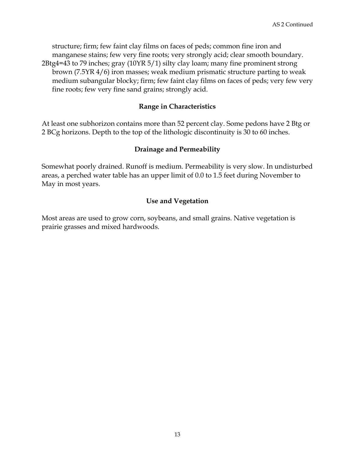structure; firm; few faint clay films on faces of peds; common fine iron and manganese stains; few very fine roots; very strongly acid; clear smooth boundary. 2Btg4=43 to 79 inches; gray (10YR 5/1) silty clay loam; many fine prominent strong brown (7.5YR 4/6) iron masses; weak medium prismatic structure parting to weak

medium subangular blocky; firm; few faint clay films on faces of peds; very few very fine roots; few very fine sand grains; strongly acid.

### **Range in Characteristics**

At least one subhorizon contains more than 52 percent clay. Some pedons have 2 Btg or 2 BCg horizons. Depth to the top of the lithologic discontinuity is 30 to 60 inches.

## **Drainage and Permeability**

Somewhat poorly drained. Runoff is medium. Permeability is very slow. In undisturbed areas, a perched water table has an upper limit of 0.0 to 1.5 feet during November to May in most years.

# **Use and Vegetation**

Most areas are used to grow corn, soybeans, and small grains. Native vegetation is prairie grasses and mixed hardwoods.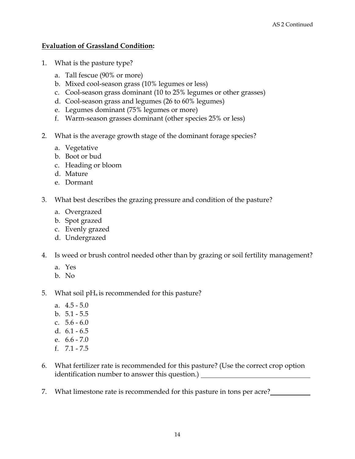### **Evaluation of Grassland Condition:**

- 1. What is the pasture type?
	- a. Tall fescue (90% or more)
	- b. Mixed cool-season grass (10% legumes or less)
	- c. Cool-season grass dominant (10 to 25% legumes or other grasses)
	- d. Cool-season grass and legumes (26 to 60% legumes)
	- e. Legumes dominant (75% legumes or more)
	- f. Warm-season grasses dominant (other species 25% or less)
- 2. What is the average growth stage of the dominant forage species?
	- a. Vegetative
	- b. Boot or bud
	- c. Heading or bloom
	- d. Mature
	- e. Dormant
- 3. What best describes the grazing pressure and condition of the pasture?
	- a. Overgrazed
	- b. Spot grazed
	- c. Evenly grazed
	- d. Undergrazed
- 4. Is weed or brush control needed other than by grazing or soil fertility management?
	- a. Yes
	- b. No
- 5. What soil  $pH<sub>s</sub>$  is recommended for this pasture?
	- a. 4.5 5.0
	- b. 5.1 5.5
	- c. 5.6 6.0
	- d. 6.1 6.5
	- e. 6.6 7.0
	- f. 7.1 7.5
- 6. What fertilizer rate is recommended for this pasture? (Use the correct crop option identification number to answer this question.) \_\_\_\_\_\_\_\_\_\_\_\_\_\_\_\_\_\_\_\_\_\_\_\_\_\_\_\_\_\_\_\_
- 7. What limestone rate is recommended for this pasture in tons per acre?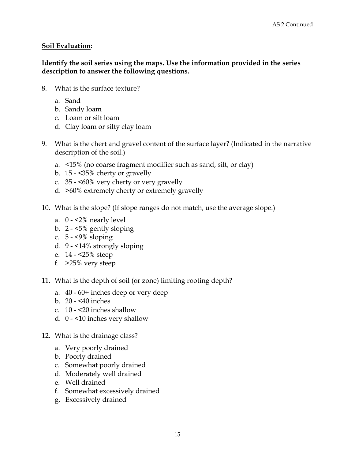## **Soil Evaluation:**

### **Identify the soil series using the maps. Use the information provided in the series description to answer the following questions.**

- 8. What is the surface texture?
	- a. Sand
	- b. Sandy loam
	- c. Loam or silt loam
	- d. Clay loam or silty clay loam
- 9. What is the chert and gravel content of the surface layer? (Indicated in the narrative description of the soil.)
	- a. <15% (no coarse fragment modifier such as sand, silt, or clay)
	- b. 15 <35% cherty or gravelly
	- c. 35 <60% very cherty or very gravelly
	- d. >60% extremely cherty or extremely gravelly
- 10. What is the slope? (If slope ranges do not match, use the average slope.)
	- a. 0 <2% nearly level
	- b. 2 <5% gently sloping
	- c. 5 <9% sloping
	- d. 9 <14% strongly sloping
	- e. 14 <25% steep
	- f. >25% very steep
- 11. What is the depth of soil (or zone) limiting rooting depth?
	- a. 40 60+ inches deep or very deep
	- b. 20 <40 inches
	- c. 10 <20 inches shallow
	- d. 0 <10 inches very shallow
- 12. What is the drainage class?
	- a. Very poorly drained
	- b. Poorly drained
	- c. Somewhat poorly drained
	- d. Moderately well drained
	- e. Well drained
	- f. Somewhat excessively drained
	- g. Excessively drained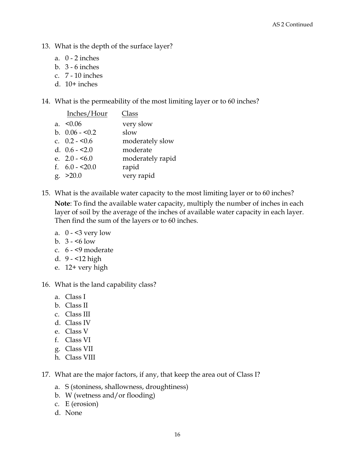- 13. What is the depth of the surface layer?
	- a. 0 2 inches
	- b. 3 6 inches
	- c. 7 10 inches
	- d.  $10+$  inches
- 14. What is the permeability of the most limiting layer or to 60 inches?

| Inches/Hour     | Class            |
|-----------------|------------------|
| a. $< 0.06$     | very slow        |
| b. $0.06 - 0.2$ | slow             |
| c. $0.2 - 5.6$  | moderately slow  |
| d. $0.6 - 2.0$  | moderate         |
| e. $2.0 - 5.0$  | moderately rapid |
| f. $6.0 - 20.0$ | rapid            |
| g. > 20.0       | very rapid       |

- 15. What is the available water capacity to the most limiting layer or to 60 inches?  **Note**: To find the available water capacity, multiply the number of inches in each layer of soil by the average of the inches of available water capacity in each layer. Then find the sum of the layers or to 60 inches.
	- a.  $0 3$  very low
	- b.  $3 5$  low
	- c. 6 <9 moderate
	- d. 9 <12 high
	- e. 12+ very high
- 16. What is the land capability class?
	- a. Class I
	- b. Class II
	- c. Class III
	- d. Class IV
	- e. Class V
	- f. Class VI
	- g. Class VII
	- h. Class VIII
- 17. What are the major factors, if any, that keep the area out of Class I?
	- a. S (stoniness, shallowness, droughtiness)
	- b. W (wetness and/or flooding)
	- c. E (erosion)
	- d. None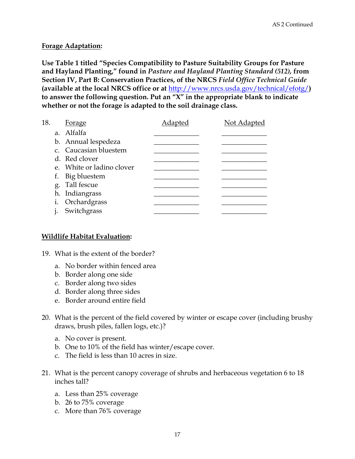#### **Forage Adaptation:**

**Use Table 1 titled "Species Compatibility to Pasture Suitability Groups for Pasture and Hayland Planting," found in** *Pasture and Hayland Planting Standard (512),* **from Section IV, Part B: Conservation Practices, of the NRCS** *Field Office Technical Guide* **(available at the local NRCS office or at** http://www.nrcs.usda.gov/technical/efotg/**) to answer the following question. Put an "X" in the appropriate blank to indicate whether or not the forage is adapted to the soil drainage class.** 

| 18. | <b>Forage</b>             | Adapted | Not Adapted |
|-----|---------------------------|---------|-------------|
|     | a. Alfalfa                |         |             |
|     | b. Annual lespedeza       |         |             |
|     | c. Caucasian bluestem     |         |             |
|     | d. Red clover             |         |             |
|     | e. White or ladino clover |         |             |
|     | f. Big bluestem           |         |             |
|     | g. Tall fescue            |         |             |
|     | h. Indiangrass            |         |             |
|     | i. Orchardgrass           |         |             |
|     | Switchgrass               |         |             |

#### **Wildlife Habitat Evaluation:**

- 19. What is the extent of the border?
	- a. No border within fenced area
	- b. Border along one side
	- c. Border along two sides
	- d. Border along three sides
	- e. Border around entire field
- 20. What is the percent of the field covered by winter or escape cover (including brushy draws, brush piles, fallen logs, etc.)?
	- a. No cover is present.
	- b. One to 10% of the field has winter/escape cover.
	- c. The field is less than 10 acres in size.
- 21. What is the percent canopy coverage of shrubs and herbaceous vegetation 6 to 18 inches tall?
	- a. Less than 25% coverage
	- b. 26 to 75% coverage
	- c. More than 76% coverage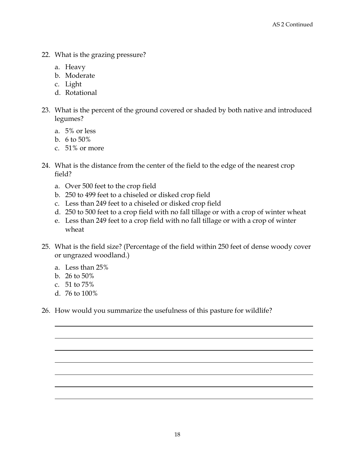- 22. What is the grazing pressure?
	- a. Heavy
	- b. Moderate
	- c. Light
	- d. Rotational
- 23. What is the percent of the ground covered or shaded by both native and introduced legumes?
	- a. 5% or less
	- b. 6 to 50%
	- c. 51% or more
- 24. What is the distance from the center of the field to the edge of the nearest crop field?
	- a. Over 500 feet to the crop field
	- b. 250 to 499 feet to a chiseled or disked crop field
	- c. Less than 249 feet to a chiseled or disked crop field
	- d. 250 to 500 feet to a crop field with no fall tillage or with a crop of winter wheat
	- e. Less than 249 feet to a crop field with no fall tillage or with a crop of winter wheat
- 25. What is the field size? (Percentage of the field within 250 feet of dense woody cover or ungrazed woodland.)
	- a. Less than 25%
	- b. 26 to 50%
	- c. 51 to 75%
	- d. 76 to 100%
- 26. How would you summarize the usefulness of this pasture for wildlife?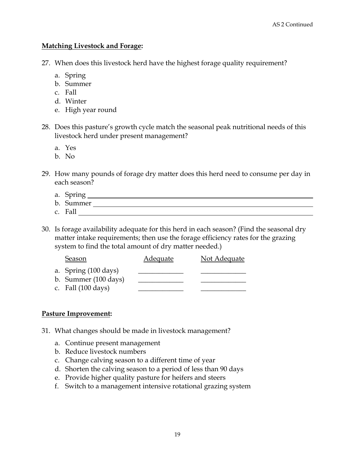#### **Matching Livestock and Forage:**

- 27. When does this livestock herd have the highest forage quality requirement?
	- a. Spring
	- b. Summer
	- c. Fall
	- d. Winter
	- e. High year round
- 28. Does this pasture's growth cycle match the seasonal peak nutritional needs of this livestock herd under present management?
	- a. Yes
	- b. No
- 29. How many pounds of forage dry matter does this herd need to consume per day in each season?
	- a. Spring
	- b. Summer
	- c. Fall
- 30. Is forage availability adequate for this herd in each season? (Find the seasonal dry matter intake requirements; then use the forage efficiency rates for the grazing system to find the total amount of dry matter needed.)

| Season                       | <b>Adequate</b> | Not Adequate |
|------------------------------|-----------------|--------------|
| a. Spring (100 days)         |                 |              |
| b. Summer (100 days)         |                 |              |
| c. Fall $(100 \text{ days})$ |                 |              |

## **Pasture Improvement:**

- 31. What changes should be made in livestock management?
	- a. Continue present management
	- b. Reduce livestock numbers
	- c. Change calving season to a different time of year
	- d. Shorten the calving season to a period of less than 90 days
	- e. Provide higher quality pasture for heifers and steers
	- f. Switch to a management intensive rotational grazing system